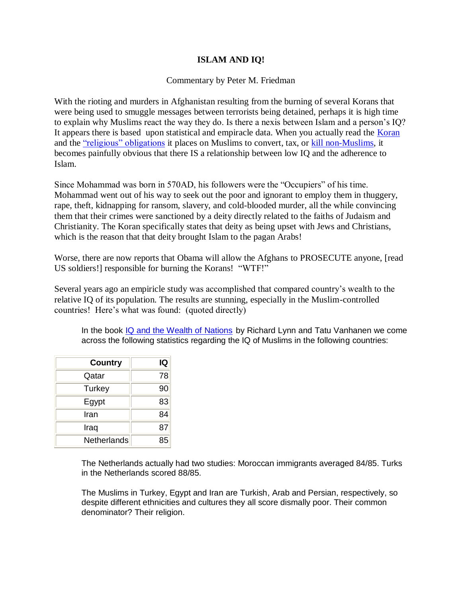# **ISLAM AND IQ!**

### Commentary by Peter M. Friedman

With the rioting and murders in Afghanistan resulting from the burning of several Korans that were being used to smuggle messages between terrorists being detained, perhaps it is high time to explain why Muslims react the way they do. Is there a nexis between Islam and a person's IQ? It appears there is based upon statistical and empiracle data. When you actually read the [Koran](http://islamthreat.com/BOOKS/Koran_Pickthall.pdf) and the ["religious" obligations](http://islamthreat.com/word/koran_index_roman.pdf) it places on Muslims to convert, tax, or [kill non-Muslims,](http://islamthreat.com/pdf/Violence_in_Islam.pdf) it becomes painfully obvious that there IS a relationship between low IQ and the adherence to Islam.

Since Mohammad was born in 570AD, his followers were the "Occupiers" of his time. Mohammad went out of his way to seek out the poor and ignorant to employ them in thuggery, rape, theft, kidnapping for ransom, slavery, and cold-blooded murder, all the while convincing them that their crimes were sanctioned by a deity directly related to the faiths of Judaism and Christianity. The Koran specifically states that deity as being upset with Jews and Christians, which is the reason that that deity brought Islam to the pagan Arabs!

Worse, there are now reports that Obama will allow the Afghans to PROSECUTE anyone, [read US soldiers!] responsible for burning the Korans! "WTF!"

Several years ago an empiricle study was accomplished that compared country's wealth to the relative IQ of its population. The results are stunning, especially in the Muslim-controlled countries! Here's what was found: (quoted directly)

In the book [IQ and the Wealth of Nations](http://www.amazon.com/gp/product/027597510X?ie=UTF8&tag=plancksconsta-20&linkCode=as2&camp=1789&creative=9325&creativeASIN=027597510X) by Richard Lynn and Tatu Vanhanen we come across the following statistics regarding the IQ of Muslims in the following countries:

| <b>Country</b> | IQ |
|----------------|----|
| Qatar          | 78 |
| Turkey         | 90 |
| Egypt          | 83 |
| Iran           | 84 |
| Iraq           | 87 |
| Netherlands    | 85 |

The Netherlands actually had two studies: Moroccan immigrants averaged 84/85. Turks in the Netherlands scored 88/85.

The Muslims in Turkey, Egypt and Iran are Turkish, Arab and Persian, respectively, so despite different ethnicities and cultures they all score dismally poor. Their common denominator? Their religion.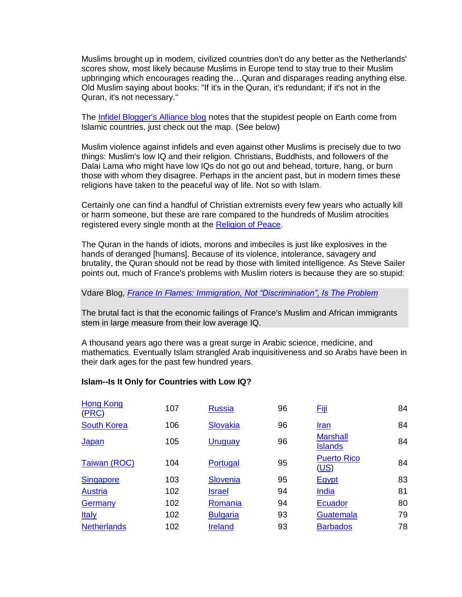Muslims brought up in modern, civilized countries don't do any better as the Netherlands' scores show, most likely because Muslims in Europe tend to stay true to their Muslim upbringing which encourages reading the…Quran and disparages reading anything else. Old Muslim saying about books: "If it's in the Quran, it's redundant; if it's not in the Quran, it's not necessary."

The [Infidel Blogger's Alliance blog](http://ibloga.blogspot.com/2006/12/islam-is-it-only-for-countries-with.html) notes that the stupidest people on Earth come from Islamic countries, just check out the map. (See below)

Muslim violence against infidels and even against other Muslims is precisely due to two things: Muslim's low IQ and their religion. Christians, Buddhists, and followers of the Dalai Lama who might have low IQs do not go out and behead, torture, hang, or burn those with whom they disagree. Perhaps in the ancient past, but in modern times these religions have taken to the peaceful way of life. Not so with Islam.

Certainly one can find a handful of Christian extremists every few years who actually kill or harm someone, but these are rare compared to the hundreds of Muslim atrocities registered every single month at the [Religion of Peace.](http://www.thereligionofpeace.com/)

The Quran in the hands of idiots, morons and imbeciles is just like explosives in the hands of deranged [humans]. Because of its violence, intolerance, savagery and brutality, the Quran should not be read by those with limited intelligence. As Steve Sailer points out, much of France's problems with Muslim rioters is because they are so stupid:

### Vdare Blog, *[France In Flames: Immigration, Not "Discrimination", Is The Problem](http://vdare.com/sailer/051109_france.htm)*

The brutal fact is that the economic failings of France's Muslim and African immigrants stem in large measure from their low average IQ.

A thousand years ago there was a great surge in Arabic science, medicine, and mathematics. Eventually Islam strangled Arab inquisitiveness and so Arabs have been in their dark ages for the past few hundred years.

#### **Islam--Is It Only for Countries with Low IQ?**

| <b>Hong Kong</b><br>(PRC) | 107 | <b>Russia</b>   | 96 | <b>Fiji</b>                       | 84 |
|---------------------------|-----|-----------------|----|-----------------------------------|----|
| <b>South Korea</b>        | 106 | Slovakia        | 96 | <u>Iran</u>                       | 84 |
| Japan                     | 105 | Uruguay         | 96 | <b>Marshall</b><br><b>Islands</b> | 84 |
| Taiwan (ROC)              | 104 | Portugal        | 95 | <b>Puerto Rico</b><br>(US)        | 84 |
| <b>Singapore</b>          | 103 | Slovenia        | 95 | <b>Egypt</b>                      | 83 |
| <b>Austria</b>            | 102 | <b>Israel</b>   | 94 | India                             | 81 |
| Germany                   | 102 | Romania         | 94 | Ecuador                           | 80 |
| <b>Italy</b>              | 102 | <b>Bulgaria</b> | 93 | Guatemala                         | 79 |
| <b>Netherlands</b>        | 102 | <b>Ireland</b>  | 93 | <b>Barbados</b>                   | 78 |
|                           |     |                 |    |                                   |    |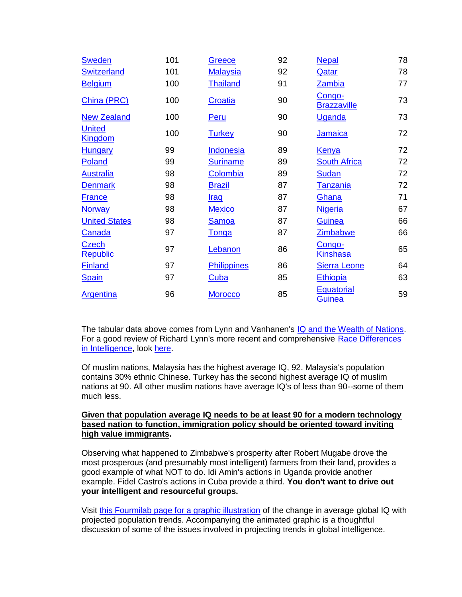| <b>Sweden</b>                   | 101 | Greece             | 92 | <b>Nepal</b>                       | 78 |
|---------------------------------|-----|--------------------|----|------------------------------------|----|
| <b>Switzerland</b>              | 101 | <b>Malaysia</b>    | 92 | Qatar                              | 78 |
| <b>Belgium</b>                  | 100 | <b>Thailand</b>    | 91 | Zambia                             | 77 |
| China (PRC)                     | 100 | Croatia            | 90 | Congo-<br><b>Brazzaville</b>       | 73 |
| <b>New Zealand</b>              | 100 | <b>Peru</b>        | 90 | <b>Uganda</b>                      | 73 |
| <b>United</b><br><b>Kingdom</b> | 100 | <b>Turkey</b>      | 90 | Jamaica                            | 72 |
| <b>Hungary</b>                  | 99  | Indonesia          | 89 | <b>Kenya</b>                       | 72 |
| Poland                          | 99  | <b>Suriname</b>    | 89 | <b>South Africa</b>                | 72 |
| <b>Australia</b>                | 98  | Colombia           | 89 | Sudan                              | 72 |
| <b>Denmark</b>                  | 98  | <b>Brazil</b>      | 87 | <b>Tanzania</b>                    | 72 |
| <b>France</b>                   | 98  | <b>Iraq</b>        | 87 | Ghana                              | 71 |
| <b>Norway</b>                   | 98  | <b>Mexico</b>      | 87 | <b>Nigeria</b>                     | 67 |
| <b>United States</b>            | 98  | Samoa              | 87 | <b>Guinea</b>                      | 66 |
| Canada                          | 97  | <b>Tonga</b>       | 87 | <b>Zimbabwe</b>                    | 66 |
| Czech<br><b>Republic</b>        | 97  | Lebanon            | 86 | Congo-<br>Kinshasa                 | 65 |
| <b>Finland</b>                  | 97  | <b>Philippines</b> | 86 | <b>Sierra Leone</b>                | 64 |
| <b>Spain</b>                    | 97  | <b>Cuba</b>        | 85 | <b>Ethiopia</b>                    | 63 |
| <b>Argentina</b>                | 96  | <b>Morocco</b>     | 85 | <b>Equatorial</b><br><b>Guinea</b> | 59 |

The tabular data above comes from Lynn and Vanhanen's IQ and [the Wealth of Nations.](http://www.vdare.com/sailer/wealth_of_nations.htm) For a good review of Richard Lynn's more recent and comprehensive [Race Differences](http://www.amazon.com/gp/product/159368021X/)  [in Intelligence,](http://www.amazon.com/gp/product/159368021X/) look [here.](http://www.gnxp.com/blog/2006/02/world-of-difference-richard-lynn-maps.php)

Of muslim nations, Malaysia has the highest average IQ, 92. Malaysia's population contains 30% ethnic Chinese. Turkey has the second highest average IQ of muslim nations at 90. All other muslim nations have average IQ's of less than 90--some of them much less.

## **Given that population average IQ needs to be at least 90 for a modern technology based nation to function, immigration policy should be oriented toward inviting high value immigrants.**

Observing what happened to Zimbabwe's prosperity after Robert Mugabe drove the most prosperous (and presumably most intelligent) farmers from their land, provides a good example of what NOT to do. Idi Amin's actions in Uganda provide another example. Fidel Castro's actions in Cuba provide a third. **You don't want to drive out your intelligent and resourceful groups.**

Visit [this Fourmilab page for a graphic illustration](http://www.fourmilab.ch/documents/IQ/1950-2050/) of the change in average global IQ with projected population trends. Accompanying the animated graphic is a thoughtful discussion of some of the issues involved in projecting trends in global intelligence.